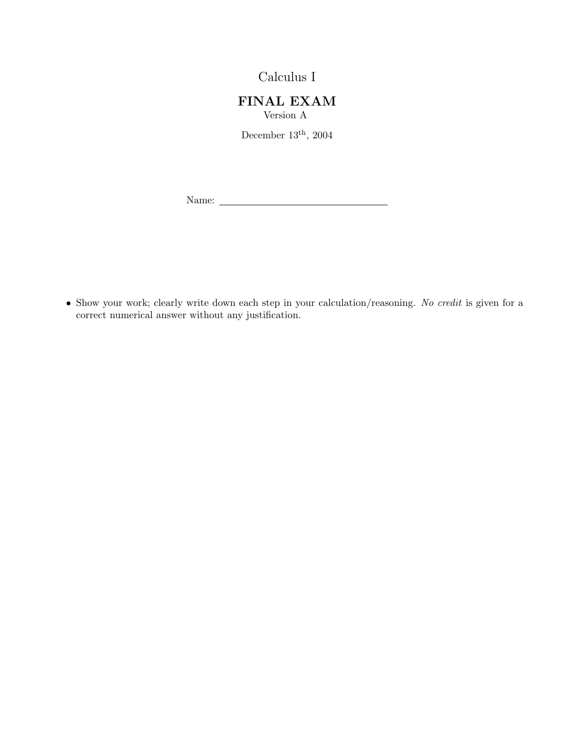Calculus I

FINAL EXAM Version A

December  $13<sup>th</sup>$ , 2004

Name:

• Show your work; clearly write down each step in your calculation/reasoning. No credit is given for a correct numerical answer without any justification.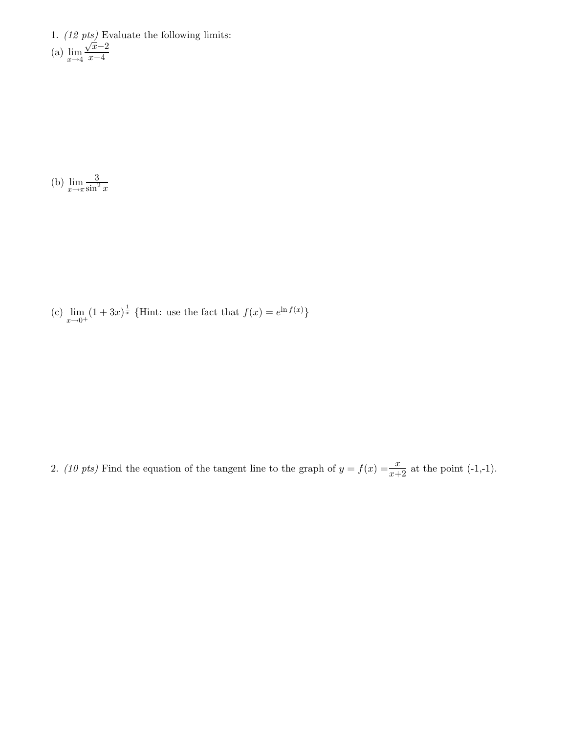1. (12 pts) Evaluate the following limits:  $(a)$   $\lim_{x \to 4}$  $\frac{\sqrt{x}}{\sqrt{x}-2}$  $\overline{x-4}$ 

(b)  $\lim_{x \to \pi} \frac{3}{\sin^2}$  $\sin^2 x$ 

(c)  $\lim_{x \to 0^+} (1 + 3x)^{\frac{1}{x}}$  {Hint: use the fact that  $f(x) = e^{\ln f(x)}$ }

2. (10 pts) Find the equation of the tangent line to the graph of  $y = f(x) = \frac{x}{x+2}$  at the point (-1,-1).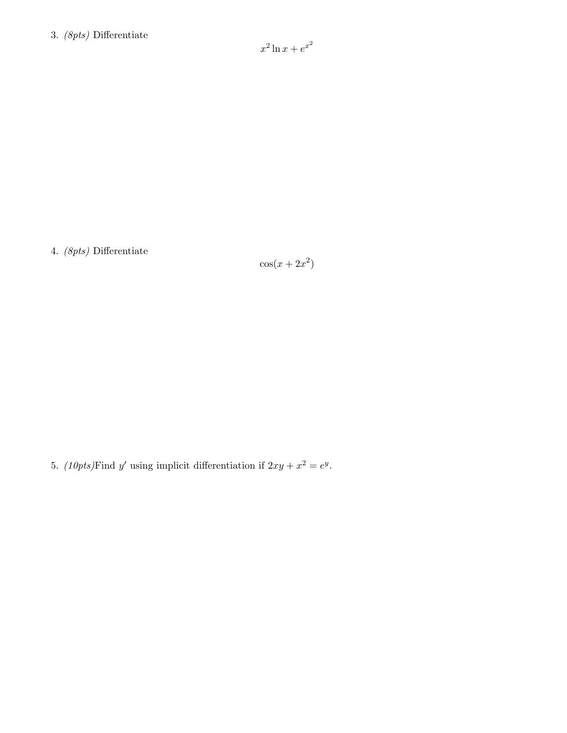## 3. (8pts) Differentiate

 $x^2 \ln x + e^{x^2}$ 

4. (8pts) Differentiate

 $\cos(x+2x^2)$ 

5. (10pts) Find y' using implicit differentiation if  $2xy + x^2 = e^y$ .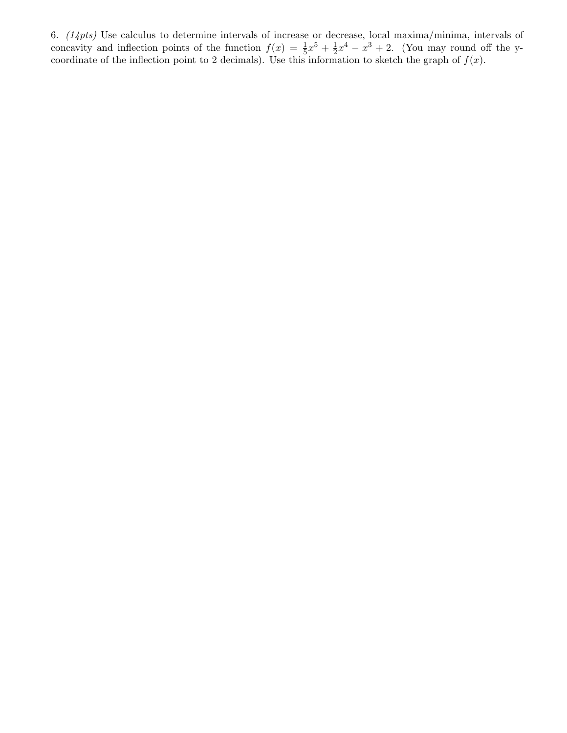6.  $(14pts)$  Use calculus to determine intervals of increase or decrease, local maxima/minima, intervals of concavity and inflection points of the function  $f(x) = \frac{1}{5}x^5 + \frac{1}{2}$  $\frac{1}{2}x^4 - x^3 + 2$ . (You may round off the ycoordinate of the inflection point to 2 decimals). Use this information to sketch the graph of  $f(x)$ .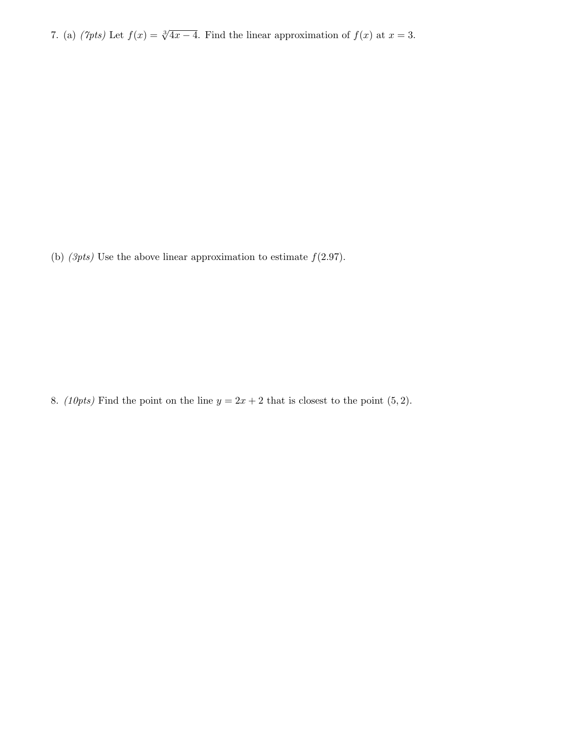7. (a)  $(\gamma p t s)$  Let  $f(x) = \sqrt[3]{4x-4}$ . Find the linear approximation of  $f(x)$  at  $x = 3$ .

(b)  $(3pts)$  Use the above linear approximation to estimate  $f(2.97)$ .

8. (10pts) Find the point on the line  $y = 2x + 2$  that is closest to the point (5, 2).